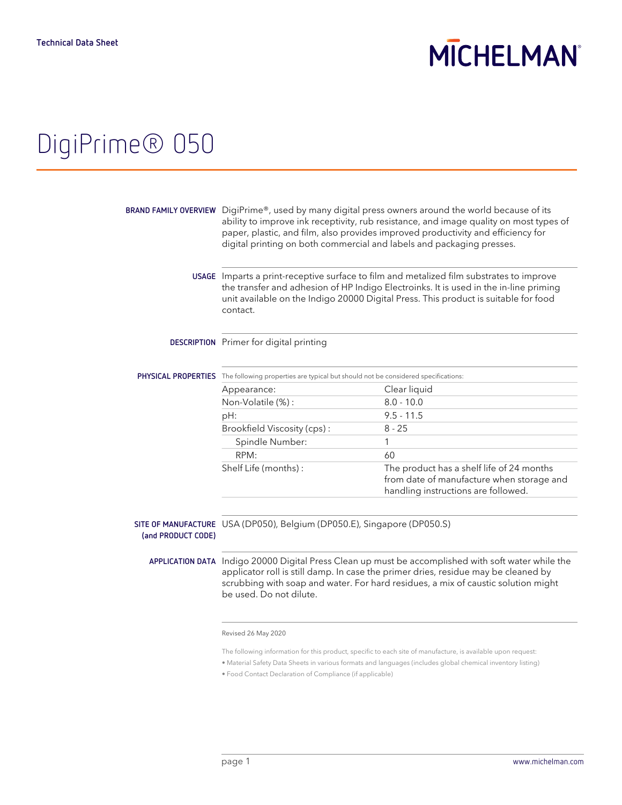## **MICHELMAN**

## DigiPrime® 050

|                    | <b>BRAND FAMILY OVERVIEW</b> DigiPrime®, used by many digital press owners around the world because of its<br>ability to improve ink receptivity, rub resistance, and image quality on most types of<br>paper, plastic, and film, also provides improved productivity and efficiency for<br>digital printing on both commercial and labels and packaging presses. |                                                                                                                               |  |
|--------------------|-------------------------------------------------------------------------------------------------------------------------------------------------------------------------------------------------------------------------------------------------------------------------------------------------------------------------------------------------------------------|-------------------------------------------------------------------------------------------------------------------------------|--|
|                    | USAGE Imparts a print-receptive surface to film and metalized film substrates to improve<br>the transfer and adhesion of HP Indigo Electroinks. It is used in the in-line priming<br>unit available on the Indigo 20000 Digital Press. This product is suitable for food<br>contact.                                                                              |                                                                                                                               |  |
|                    | DESCRIPTION Primer for digital printing                                                                                                                                                                                                                                                                                                                           |                                                                                                                               |  |
|                    | PHYSICAL PROPERTIES The following properties are typical but should not be considered specifications:                                                                                                                                                                                                                                                             |                                                                                                                               |  |
|                    | Appearance:                                                                                                                                                                                                                                                                                                                                                       | Clear liquid                                                                                                                  |  |
|                    | Non-Volatile (%):                                                                                                                                                                                                                                                                                                                                                 | $8.0 - 10.0$                                                                                                                  |  |
|                    | pH:                                                                                                                                                                                                                                                                                                                                                               | $9.5 - 11.5$                                                                                                                  |  |
|                    | Brookfield Viscosity (cps):                                                                                                                                                                                                                                                                                                                                       | $8 - 25$                                                                                                                      |  |
|                    | Spindle Number:                                                                                                                                                                                                                                                                                                                                                   | 1                                                                                                                             |  |
|                    | RPM:                                                                                                                                                                                                                                                                                                                                                              | 60                                                                                                                            |  |
|                    | Shelf Life (months) :                                                                                                                                                                                                                                                                                                                                             | The product has a shelf life of 24 months<br>from date of manufacture when storage and<br>handling instructions are followed. |  |
|                    |                                                                                                                                                                                                                                                                                                                                                                   |                                                                                                                               |  |
| (and PRODUCT CODE) | SITE OF MANUFACTURE USA (DP050), Belgium (DP050.E), Singapore (DP050.S)                                                                                                                                                                                                                                                                                           |                                                                                                                               |  |
|                    | APPLICATION DATA Indigo 20000 Digital Press Clean up must be accomplished with soft water while the<br>applicator roll is still damp. In case the primer dries, residue may be cleaned by<br>scrubbing with soap and water. For hard residues, a mix of caustic solution might<br>be used. Do not dilute.                                                         |                                                                                                                               |  |

Revised 26 May 2020

The following information for this product, specific to each site of manufacture, is available upon request:

• Material Safety Data Sheets in various formats and languages (includes global chemical inventory listing)

• Food Contact Declaration of Compliance (if applicable)